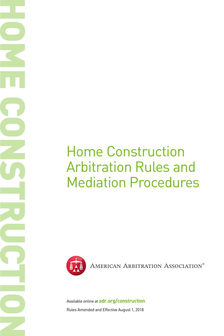# Home Construction Arbitration Rules and Mediation Procedures



AMERICAN ARBITRATION ASSOCIATION®

Rules Amended and Effective August 1, 2018 Available online at **adr.org/construction**

Rules Amended and Effective August 1, 2018. HOME CONSTRUCTION **1**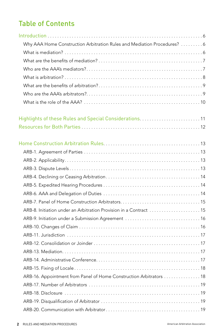# Table of Contents

| Why AAA Home Construction Arbitration Rules and Mediation Procedures? 6 |  |
|-------------------------------------------------------------------------|--|
|                                                                         |  |
|                                                                         |  |
|                                                                         |  |
|                                                                         |  |
|                                                                         |  |
|                                                                         |  |
|                                                                         |  |
| Highlights of these Rules and Special Considerations11                  |  |
|                                                                         |  |
|                                                                         |  |
|                                                                         |  |
|                                                                         |  |
|                                                                         |  |
|                                                                         |  |
|                                                                         |  |
|                                                                         |  |
|                                                                         |  |
| ARB-8. Initiation under an Arbitration Provision in a Contract  15      |  |
|                                                                         |  |
|                                                                         |  |
|                                                                         |  |
|                                                                         |  |
|                                                                         |  |
|                                                                         |  |
|                                                                         |  |
| ARB-16. Appointment from Panel of Home Construction Arbitrators  18     |  |
|                                                                         |  |
|                                                                         |  |
|                                                                         |  |
|                                                                         |  |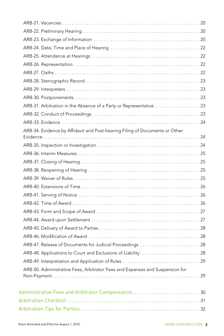| ARB-34. Evidence by Affidavit and Post-hearing Filing of Documents or Other  |  |
|------------------------------------------------------------------------------|--|
|                                                                              |  |
|                                                                              |  |
|                                                                              |  |
|                                                                              |  |
|                                                                              |  |
|                                                                              |  |
|                                                                              |  |
|                                                                              |  |
|                                                                              |  |
|                                                                              |  |
|                                                                              |  |
|                                                                              |  |
|                                                                              |  |
|                                                                              |  |
|                                                                              |  |
|                                                                              |  |
| ARB-50. Administrative Fees, Arbitrator Fees and Expenses and Suspension for |  |
|                                                                              |  |
| Administrative Fees and Arbitrator Compensation30                            |  |
|                                                                              |  |
|                                                                              |  |
|                                                                              |  |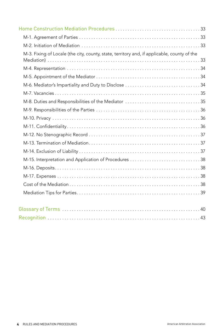| M-3. Fixing of Locale (the city, county, state, territory and, if applicable, county of the |  |
|---------------------------------------------------------------------------------------------|--|
|                                                                                             |  |
|                                                                                             |  |
| M-6. Mediator's Impartiality and Duty to Disclose 34                                        |  |
|                                                                                             |  |
| M-8. Duties and Responsibilities of the Mediator 35                                         |  |
|                                                                                             |  |
|                                                                                             |  |
|                                                                                             |  |
|                                                                                             |  |
|                                                                                             |  |
|                                                                                             |  |
|                                                                                             |  |
|                                                                                             |  |
|                                                                                             |  |
|                                                                                             |  |
|                                                                                             |  |
|                                                                                             |  |
|                                                                                             |  |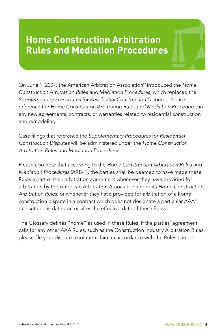# **Home Construction Arbitration Rules and Mediation Procedures**

On June 1, 2007, the American Arbitration Association® introduced the *Home Construction Arbitration Rules and Mediation Procedures*, which replaced the *Supplementary Procedures for Residential Construction Disputes.* Please reference the *Home Construction Arbitration Rules and Mediation Procedures* in any new agreements, contracts, or warranties related to residential construction and remodeling.

Case filings that reference the *Supplementary Procedures for Residential Construction Disputes* will be administered under the *Home Construction Arbitration Rules and Mediation Procedures.*

Please also note that according to the *Home Construction Arbitration Rules and Mediation Procedures* (ARB-1), the parties shall be deemed to have made these Rules a part of their arbitration agreement whenever they have provided for arbitration by the American Arbitration Association under its *Home Construction Arbitration Rules*, or whenever they have provided for arbitration of a home construction dispute in a contract which does not designate a particular AAA® rule set and is dated on or after the effective date of these Rules.

The Glossary defines "home" as used in these Rules. If the parties' agreement calls for any other AAA Rules, such as the Construction Industry Arbitration Rules, please file your dispute resolution claim in accordance with the Rules named.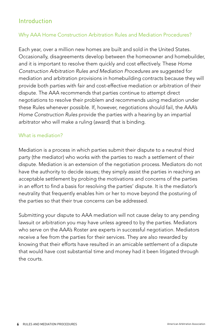# Introduction

# Why AAA Home Construction Arbitration Rules and Mediation Procedures?

Each year, over a million new homes are built and sold in the United States. Occasionally, disagreements develop between the homeowner and homebuilder, and it is important to resolve them quickly and cost effectively. These *Home Construction Arbitration Rules and Mediation Procedures* are suggested for mediation and arbitration provisions in homebuilding contracts because they will provide both parties with fair and cost-effective mediation or arbitration of their dispute. The AAA recommends that parties continue to attempt direct negotiations to resolve their problem and recommends using mediation under these Rules whenever possible. If, however, negotiations should fail, the AAA's *Home Construction Rules* provide the parties with a hearing by an impartial arbitrator who will make a ruling (award) that is binding.

## What is mediation?

Mediation is a process in which parties submit their dispute to a neutral third party (the mediator) who works with the parties to reach a settlement of their dispute. Mediation is an extension of the negotiation process. Mediators do not have the authority to decide issues; they simply assist the parties in reaching an acceptable settlement by probing the motivations and concerns of the parties in an effort to find a basis for resolving the parties' dispute. It is the mediator's neutrality that frequently enables him or her to move beyond the posturing of the parties so that their true concerns can be addressed.

Submitting your dispute to AAA mediation will not cause delay to any pending lawsuit or arbitration you may have unless agreed to by the parties. Mediators who serve on the AAA's Roster are experts in successful negotiation. Mediators receive a fee from the parties for their services. They are also rewarded by knowing that their efforts have resulted in an amicable settlement of a dispute that would have cost substantial time and money had it been litigated through the courts.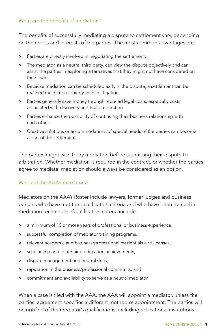# What are the benefits of mediation?

The benefits of successfully mediating a dispute to settlement vary, depending on the needs and interests of the parties. The most common advantages are:

- > Parties are directly involved in negotiating the settlement.
- > The mediator, as a neutral third party, can view the dispute objectively and can assist the parties in exploring alternatives that they might not have considered on their own.
- > Because mediation can be scheduled early in the dispute, a settlement can be reached much more quickly than in litigation.
- > Parties generally save money through reduced legal costs, especially costs associated with discovery and trial preparation.
- > Parties enhance the possibility of continuing their business relationship with each other.
- > Creative solutions or accommodations of special needs of the parties can become a part of the settlement.

The parties might wish to try mediation before submitting their dispute to arbitration. Whether mediation is required in the contract, or whether the parties agree to mediate, mediation should always be considered as an option.

# Who are the AAA's mediators?

Mediators on the AAA's Roster include lawyers, former judges and business persons who have met the qualification criteria and who have been trained in mediation techniques. Qualification criteria include:

- > a minimum of 10 or more years of professional or business experience,
- > successful completion of mediator training programs,
- > relevant academic and business/professional credentials and licenses,
- > scholarship and continuing education achievements,
- > dispute management and neutral skills,
- > reputation in the business/professional community, and
- > commitment and availability to serve as a neutral mediator.

When a case is filed with the AAA, the AAA will appoint a mediator, unless the parties' agreement specifies a different method of appointment. The parties will be notified of the mediator's qualifications, including educational institutions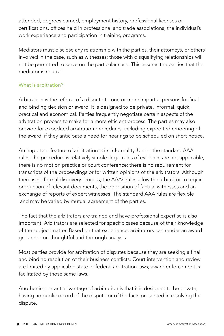attended, degrees earned, employment history, professional licenses or certifications, offices held in professional and trade associations, the individual's work experience and participation in training programs.

Mediators must disclose any relationship with the parties, their attorneys, or others involved in the case, such as witnesses; those with disqualifying relationships will not be permitted to serve on the particular case. This assures the parties that the mediator is neutral.

# What is arbitration?

Arbitration is the referral of a dispute to one or more impartial persons for final and binding decision or award. It is designed to be private, informal, quick, practical and economical. Parties frequently negotiate certain aspects of the arbitration process to make for a more efficient process. The parties may also provide for expedited arbitration procedures, including expedited rendering of the award, if they anticipate a need for hearings to be scheduled on short notice.

An important feature of arbitration is its informality. Under the standard AAA rules, the procedure is relatively simple: legal rules of evidence are not applicable; there is no motion practice or court conference; there is no requirement for transcripts of the proceedings or for written opinions of the arbitrators. Although there is no formal discovery process, the AAA's rules allow the arbitrator to require production of relevant documents, the deposition of factual witnesses and an exchange of reports of expert witnesses. The standard AAA rules are flexible and may be varied by mutual agreement of the parties.

The fact that the arbitrators are trained and have professional expertise is also important. Arbitrators are selected for specific cases because of their knowledge of the subject matter. Based on that experience, arbitrators can render an award grounded on thoughtful and thorough analysis.

Most parties provide for arbitration of disputes because they are seeking a final and binding resolution of their business conflicts. Court intervention and review are limited by applicable state or federal arbitration laws; award enforcement is facilitated by those same laws.

Another important advantage of arbitration is that it is designed to be private, having no public record of the dispute or of the facts presented in resolving the dispute.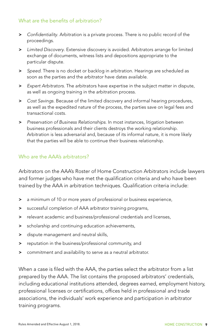# What are the benefits of arbitration?

- > *Confidentiality*. Arbitration is a private process. There is no public record of the proceedings.
- > *Limited Discovery*. Extensive discovery is avoided. Arbitrators arrange for limited exchange of documents, witness lists and depositions appropriate to the particular dispute.
- > *Speed*. There is no docket or backlog in arbitration. Hearings are scheduled as soon as the parties and the arbitrator have dates available.
- > *Expert Arbitrators*. The arbitrators have expertise in the subject matter in dispute, as well as ongoing training in the arbitration process.
- > *Cost Savings*. Because of the limited discovery and informal hearing procedures, as well as the expedited nature of the process, the parties save on legal fees and transactional costs.
- > *Preservation of Business Relationships*. In most instances, litigation between business professionals and their clients destroys the working relationship. Arbitration is less adversarial and, because of its informal nature, it is more likely that the parties will be able to continue their business relationship.

# Who are the AAA's arbitrators?

Arbitrators on the AAA's Roster of Home Construction Arbitrators include lawyers and former judges who have met the qualification criteria and who have been trained by the AAA in arbitration techniques. Qualification criteria include:

- > a minimum of 10 or more years of professional or business experience,
- > successful completion of AAA arbitrator training programs,
- > relevant academic and business/professional credentials and licenses,
- > scholarship and continuing education achievements,
- > dispute management and neutral skills,
- > reputation in the business/professional community, and
- > commitment and availability to serve as a neutral arbitrator.

When a case is filed with the AAA, the parties select the arbitrator from a list prepared by the AAA. The list contains the proposed arbitrators' credentials, including educational institutions attended, degrees earned, employment history, professional licenses or certifications, offices held in professional and trade associations, the individuals' work experience and participation in arbitrator training programs.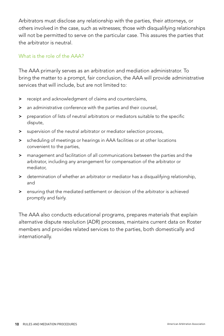Arbitrators must disclose any relationship with the parties, their attorneys, or others involved in the case, such as witnesses; those with disqualifying relationships will not be permitted to serve on the particular case. This assures the parties that the arbitrator is neutral.

# What is the role of the AAA?

The AAA primarily serves as an arbitration and mediation administrator. To bring the matter to a prompt, fair conclusion, the AAA will provide administrative services that will include, but are not limited to:

- > receipt and acknowledgment of claims and counterclaims,
- > an administrative conference with the parties and their counsel,
- > preparation of lists of neutral arbitrators or mediators suitable to the specific dispute,
- > supervision of the neutral arbitrator or mediator selection process,
- > scheduling of meetings or hearings in AAA facilities or at other locations convenient to the parties,
- > management and facilitation of all communications between the parties and the arbitrator, including any arrangement for compensation of the arbitrator or mediator,
- > determination of whether an arbitrator or mediator has a disqualifying relationship, and
- > ensuring that the mediated settlement or decision of the arbitrator is achieved promptly and fairly.

The AAA also conducts educational programs, prepares materials that explain alternative dispute resolution (ADR) processes, maintains current data on Roster members and provides related services to the parties, both domestically and internationally.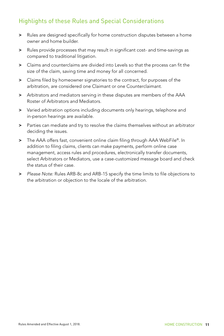# Highlights of these Rules and Special Considerations

- > Rules are designed specifically for home construction disputes between a home owner and home builder.
- > Rules provide processes that may result in significant cost- and time-savings as compared to traditional litigation.
- > Claims and counterclaims are divided into Levels so that the process can fit the size of the claim, saving time and money for all concerned.
- > Claims filed by homeowner signatories to the contract, for purposes of the arbitration, are considered one Claimant or one Counterclaimant.
- > Arbitrators and mediators serving in these disputes are members of the AAA Roster of Arbitrators and Mediators.
- > Varied arbitration options including documents only hearings, telephone and in-person hearings are available.
- > Parties can mediate and try to resolve the claims themselves without an arbitrator deciding the issues.
- > The AAA offers fast, convenient online claim filing through AAA WebFile®. In addition to filing claims, clients can make payments, perform online case management, access rules and procedures, electronically transfer documents, select Arbitrators or Mediators, use a case-customized message board and check the status of their case.
- > *Please Note:* Rules ARB-8c and ARB-15 specify the time limits to file objections to the arbitration or objection to the locale of the arbitration.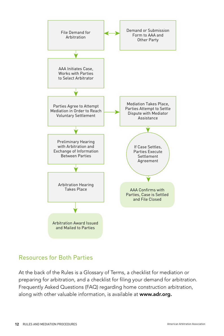

# Resources for Both Parties

At the back of the Rules is a Glossary of Terms, a checklist for mediation or preparing for arbitration, and a checklist for filing your demand for arbitration. Frequently Asked Questions (FAQ) regarding home construction arbitration, along with other valuable information, is available at www.adr.org.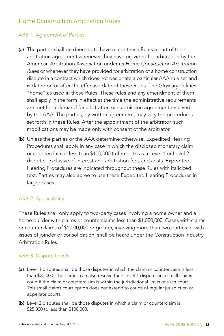# Home Construction Arbitration Rules

# ARB-1. Agreement of Parties

- (a) The parties shall be deemed to have made these Rules a part of their arbitration agreement whenever they have provided for arbitration by the American Arbitration Association under its *Home Construction Arbitration Rules* or whenever they have provided for arbitration of a home construction dispute in a contract which does not designate a particular AAA rule set and is dated on or after the effective date of these Rules. The Glossary defines "home" as used in these Rules. These rules and any amendment of them shall apply in the form in effect at the time the administrative requirements are met for a demand for arbitration or submission agreement received by the AAA. The parties, by written agreement, may vary the procedures set forth in these Rules. After the appointment of the arbitrator, such modifications may be made only with consent of the arbitrator.
- (b) Unless the parties or the AAA determine otherwise, Expedited Hearing Procedures shall apply in any case in which the disclosed monetary claim or counterclaim is less than \$100,000 (referred to as a Level 1 or Level 2 dispute), exclusive of interest and arbitration fees and costs. Expedited Hearing Procedures are indicated throughout these Rules with italicized text. Parties may also agree to use these Expedited Hearing Procedures in larger cases.

# ARB-2. Applicability

These Rules shall only apply to two-party cases involving a home owner and a home builder with claims or counterclaims less than \$1,000,000. Cases with claims or counterclaims of \$1,000,000 or greater, involving more than two parties or with issues of joinder or consolidation, shall be heard under the Construction Industry Arbitration Rules.

# ARB-3. Dispute Levels

- (a) Level 1 disputes shall be those disputes in which the claim or counterclaim is less than \$25,000. The parties can also resolve their Level 1 disputes in a small claims court if the claim or counterclaim is within the jurisdictional limits of such court. This small claims court option does not extend to courts of regular jurisdiction or appellate courts.
- (b) Level 2 disputes shall be those disputes in which a claim or counterclaim is \$25,000 to less than \$100,000.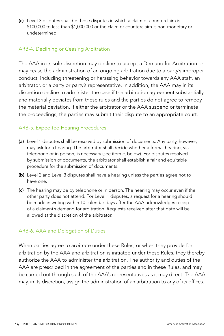(c) Level 3 disputes shall be those disputes in which a claim or counterclaim is \$100,000 to less than \$1,000,000 or the claim or counterclaim is non-monetary or undetermined.

# ARB-4. Declining or Ceasing Arbitration

The AAA in its sole discretion may decline to accept a Demand for Arbitration or may cease the administration of an ongoing arbitration due to a party's improper conduct, including threatening or harassing behavior towards any AAA staff, an arbitrator, or a party or party's representative. In addition, the AAA may in its discretion decline to administer the case if the arbitration agreement substantially and materially deviates from these rules and the parties do not agree to remedy the material deviation. If either the arbitrator or the AAA suspend or terminate the proceedings, the parties may submit their dispute to an appropriate court.

# ARB-5. Expedited Hearing Procedures

- (a) Level 1 disputes shall be resolved by submission of documents. Any party, however, may ask for a hearing. The arbitrator shall decide whether a formal hearing, via telephone or in person, is necessary (see item c, below). For disputes resolved by submission of documents, the arbitrator shall establish a fair and equitable procedure for the submission of documents.
- (b) Level 2 and Level 3 disputes shall have a hearing unless the parties agree not to have one.
- (c) The hearing may be by telephone or in person. The hearing may occur even if the other party does not attend. For Level 1 disputes, a request for a hearing should be made in writing within 10 calendar days after the AAA acknowledges receipt of a claimant's demand for arbitration. Requests received after that date will be allowed at the discretion of the arbitrator.

# ARB-6. AAA and Delegation of Duties

When parties agree to arbitrate under these Rules, or when they provide for arbitration by the AAA and arbitration is initiated under these Rules, they thereby authorize the AAA to administer the arbitration. The authority and duties of the AAA are prescribed in the agreement of the parties and in these Rules, and may be carried out through such of the AAA's representatives as it may direct. The AAA may, in its discretion, assign the administration of an arbitration to any of its offices.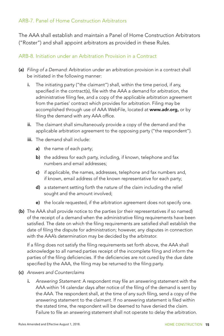# ARB-7. Panel of Home Construction Arbitrators

The AAA shall establish and maintain a Panel of Home Construction Arbitrators ("Roster") and shall appoint arbitrators as provided in these Rules.

# ARB-8. Initiation under an Arbitration Provision in a Contract

- (a) *Filing of a Demand*: Arbitration under an arbitration provision in a contract shall be initiated in the following manner:
	- i. The initiating party ("the claimant") shall, within the time period, if any, specified in the contract(s), file with the AAA a demand for arbitration, the administrative filing fee, and a copy of the applicable arbitration agreement from the parties' contract which provides for arbitration. Filing may be accomplished through use of AAA WebFile, located at www.adr.org, or by filing the demand with any AAA office.
	- ii. The claimant shall simultaneously provide a copy of the demand and the applicable arbitration agreement to the opposing party ("the respondent").
	- iii. The demand shall include:
		- a) the name of each party;
		- b) the address for each party, including, if known, telephone and fax numbers and email addresses;
		- c) if applicable, the names, addresses, telephone and fax numbers and, if known, email address of the known representative for each party;
		- d) a statement setting forth the nature of the claim including the relief sought and the amount involved;
		- e) the locale requested, if the arbitration agreement does not specify one.
- (b) The AAA shall provide notice to the parties (or their representatives if so named) of the receipt of a demand when the administrative filing requirements have been satisfied. The date on which the filing requirements are satisfied shall establish the date of filing the dispute for administration; however, any disputes in connection with the AAA's determination may be decided by the arbitrator.

If a filing does not satisfy the filing requirements set forth above, the AAA shall acknowledge to all named parties receipt of the incomplete filing and inform the parties of the filing deficiencies. If the deficiencies are not cured by the due date specified by the AAA, the filing may be returned to the filing party.

- (c) *Answers and Counterclaims*
	- i. *Answering Statement*: A respondent may file an answering statement with the AAA within 14 calendar days after notice of the filing of the demand is sent by the AAA. The respondent shall, at the time of any such filing, send a copy of the answering statement to the claimant. If no answering statement is filed within the stated time, the respondent will be deemed to have denied the claim. Failure to file an answering statement shall not operate to delay the arbitration.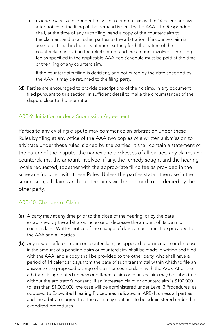ii. *Counterclaim*: A respondent may file a counterclaim within 14 calendar days after notice of the filing of the demand is sent by the AAA. The Respondent shall, at the time of any such filing, send a copy of the counterclaim to the claimant and to all other parties to the arbitration. If a counterclaim is asserted, it shall include a statement setting forth the nature of the counterclaim including the relief sought and the amount involved. The filing fee as specified in the applicable AAA Fee Schedule must be paid at the time of the filing of any counterclaim.

If the counterclaim filing is deficient, and not cured by the date specified by the AAA, it may be returned to the filing party.

(d) Parties are encouraged to provide descriptions of their claims, in any document filed pursuant to this section, in sufficient detail to make the circumstances of the dispute clear to the arbitrator.

# ARB-9. Initiation under a Submission Agreement

Parties to any existing dispute may commence an arbitration under these Rules by filing at any office of the AAA two copies of a written submission to arbitrate under these rules, signed by the parties. It shall contain a statement of the nature of the dispute, the names and addresses of all parties, any claims and counterclaims, the amount involved, if any, the remedy sought and the hearing locale requested, together with the appropriate filing fee as provided in the schedule included with these Rules. Unless the parties state otherwise in the submission, all claims and counterclaims will be deemed to be denied by the other party.

# ARB-10. Changes of Claim

- (a) A party may at any time prior to the close of the hearing, or by the date established by the arbitrator, increase or decrease the amount of its claim or counterclaim. Written notice of the change of claim amount must be provided to the AAA and all parties.
- (b) Any new or different claim or counterclaim, as opposed to an increase or decrease in the amount of a pending claim or counterclaim, shall be made in writing and filed with the AAA, and a copy shall be provided to the other party, who shall have a period of 14 calendar days from the date of such transmittal within which to file an answer to the proposed change of claim or counterclaim with the AAA. After the arbitrator is appointed no new or different claim or counterclaim may be submitted without the arbitrator's consent. If an increased claim or counterclaim is \$100,000 to less than \$1,000,000, the case will be administered under Level 3 Procedures, as opposed to Expedited Hearing Procedures indicated in ARB-1, unless all parties and the arbitrator agree that the case may continue to be administered under the expedited procedures.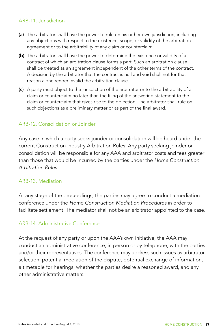## ARB-11. Jurisdiction

- (a) The arbitrator shall have the power to rule on his or her own jurisdiction, including any objections with respect to the existence, scope, or validity of the arbitration agreement or to the arbitrability of any claim or counterclaim.
- (b) The arbitrator shall have the power to determine the existence or validity of a contract of which an arbitration clause forms a part. Such an arbitration clause shall be treated as an agreement independent of the other terms of the contract. A decision by the arbitrator that the contract is null and void shall not for that reason alone render invalid the arbitration clause.
- (c) A party must object to the jurisdiction of the arbitrator or to the arbitrability of a claim or counterclaim no later than the filing of the answering statement to the claim or counterclaim that gives rise to the objection. The arbitrator shall rule on such objections as a preliminary matter or as part of the final award.

## ARB-12. Consolidation or Joinder

Any case in which a party seeks joinder or consolidation will be heard under the current Construction Industry Arbitration Rules. Any party seeking joinder or consolidation will be responsible for any AAA and arbitrator costs and fees greater than those that would be incurred by the parties under the *Home Construction Arbitration Rules.*

#### ARB-13. Mediation

At any stage of the proceedings, the parties may agree to conduct a mediation conference under the *Home Construction Mediation Procedures* in order to facilitate settlement. The mediator shall not be an arbitrator appointed to the case.

## ARB-14. Administrative Conference

At the request of any party or upon the AAA's own initiative, the AAA may conduct an administrative conference, in person or by telephone, with the parties and/or their representatives. The conference may address such issues as arbitrator selection, potential mediation of the dispute, potential exchange of information, a timetable for hearings, whether the parties desire a reasoned award, and any other administrative matters.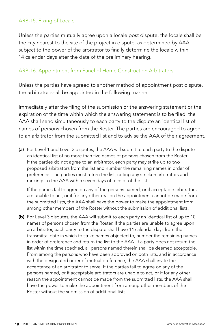# ARB-15. Fixing of Locale

Unless the parties mutually agree upon a locale post dispute, the locale shall be the city nearest to the site of the project in dispute, as determined by AAA, subject to the power of the arbitrator to finally determine the locale within 14 calendar days after the date of the preliminary hearing.

## ARB-16. Appointment from Panel of Home Construction Arbitrators

Unless the parties have agreed to another method of appointment post dispute, the arbitrator shall be appointed in the following manner:

Immediately after the filing of the submission or the answering statement or the expiration of the time within which the answering statement is to be filed, the AAA shall send simultaneously to each party to the dispute an identical list of names of persons chosen from the Roster. The parties are encouraged to agree to an arbitrator from the submitted list and to advise the AAA of their agreement.

(a) For Level 1 and Level 2 disputes, the AAA will submit to each party to the dispute an identical list of no more than five names of persons chosen from the Roster. If the parties do not agree to an arbitrator, each party may strike up to two proposed arbitrators from the list and number the remaining names in order of preference. The parties must return the list, noting any stricken arbitrators and rankings to the AAA within seven days of receipt of the list.

If the parties fail to agree on any of the persons named, or if acceptable arbitrators are unable to act, or if for any other reason the appointment cannot be made from the submitted lists, the AAA shall have the power to make the appointment from among other members of the Roster without the submission of additional lists.

(b) For Level 3 disputes, the AAA will submit to each party an identical list of up to 10 names of persons chosen from the Roster. If the parties are unable to agree upon an arbitrator, each party to the dispute shall have 14 calendar days from the transmittal date in which to strike names objected to, number the remaining names in order of preference and return the list to the AAA. If a party does not return the list within the time specified, all persons named therein shall be deemed acceptable. From among the persons who have been approved on both lists, and in accordance with the designated order of mutual preference, the AAA shall invite the acceptance of an arbitrator to serve. If the parties fail to agree on any of the persons named, or if acceptable arbitrators are unable to act, or if for any other reason the appointment cannot be made from the submitted lists, the AAA shall have the power to make the appointment from among other members of the Roster without the submission of additional lists.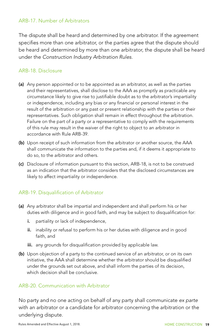# ARB-17. Number of Arbitrators

The dispute shall be heard and determined by one arbitrator. If the agreement specifies more than one arbitrator, or the parties agree that the dispute should be heard and determined by more than one arbitrator, the dispute shall be heard under the *Construction Industry Arbitration Rules.*

## ARB-18. Disclosure

- (a) Any person appointed or to be appointed as an arbitrator, as well as the parties and their representatives, shall disclose to the AAA as promptly as practicable any circumstance likely to give rise to justifiable doubt as to the arbitrator's impartiality or independence, including any bias or any financial or personal interest in the result of the arbitration or any past or present relationship with the parties or their representatives. Such obligation shall remain in effect throughout the arbitration. Failure on the part of a party or a representative to comply with the requirements of this rule may result in the waiver of the right to object to an arbitrator in accordance with Rule ARB-39.
- (b) Upon receipt of such information from the arbitrator or another source, the AAA shall communicate the information to the parties and, if it deems it appropriate to do so, to the arbitrator and others.
- (c) Disclosure of information pursuant to this section, ARB-18, is not to be construed as an indication that the arbitrator considers that the disclosed circumstances are likely to affect impartiality or independence.

# ARB-19. Disqualification of Arbitrator

- (a) Any arbitrator shall be impartial and independent and shall perform his or her duties with diligence and in good faith, and may be subject to disqualification for:
	- i. partiality or lack of independence,
	- ii. inability or refusal to perform his or her duties with diligence and in good faith, and
	- iii. any grounds for disqualification provided by applicable law.
- (b) Upon objection of a party to the continued service of an arbitrator, or on its own initiative, the AAA shall determine whether the arbitrator should be disqualified under the grounds set out above, and shall inform the parties of its decision, which decision shall be conclusive.

# ARB-20. Communication with Arbitrator

No party and no one acting on behalf of any party shall communicate *ex parte* with an arbitrator or a candidate for arbitrator concerning the arbitration or the underlying dispute.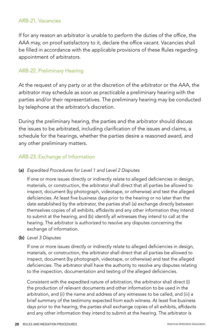## ARB-21. Vacancies

If for any reason an arbitrator is unable to perform the duties of the office, the AAA may, on proof satisfactory to it, declare the office vacant. Vacancies shall be filled in accordance with the applicable provisions of these Rules regarding appointment of arbitrators.

## ARB-22. Preliminary Hearing

At the request of any party or at the discretion of the arbitrator or the AAA, the arbitrator may schedule as soon as practicable a preliminary hearing with the parties and/or their representatives. The preliminary hearing may be conducted by telephone at the arbitrator's discretion.

During the preliminary hearing, the parties and the arbitrator should discuss the issues to be arbitrated, including clarification of the issues and claims, a schedule for the hearings, whether the parties desire a reasoned award, and any other preliminary matters.

# ARB-23. Exchange of Information

#### (a) *Expedited Procedures for Level 1 and Level 2 Disputes*

If one or more issues directly or indirectly relate to alleged deficiencies in design, materials, or construction, the arbitrator shall direct that all parties be allowed to inspect, document (by photograph, videotape, or otherwise) and test the alleged deficiencies. At least five business days prior to the hearing or no later than the date established by the arbitrator, the parties shall (a) exchange directly between themselves copies of all exhibits, affidavits and any other information they intend to submit at the hearing, and (b) identify all witnesses they intend to call at the hearing. The arbitrator is authorized to resolve any disputes concerning the exchange of information.

#### (b) *Level 3 Disputes*

If one or more issues directly or indirectly relate to alleged deficiencies in design, materials, or construction, the arbitrator shall direct that all parties be allowed to inspect, document (by photograph, videotape, or otherwise) and test the alleged deficiencies. The arbitrator shall have the authority to resolve any disputes relating to the inspection, documentation and testing of the alleged deficiencies.

Consistent with the expedited nature of arbitration, the arbitrator shall direct (i) the production of relevant documents and other information to be used in the arbitration, and (ii) the name and address of any witnesses to be called, and (iii) a brief summary of the testimony expected from each witness. At least five business days prior to the hearing, the parties shall exchange copies of all exhibits, affidavits and any other information they intend to submit at the hearing. The arbitrator is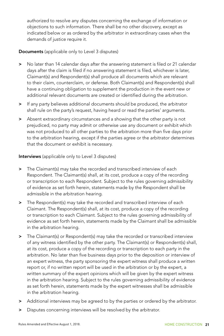authorized to resolve any disputes concerning the exchange of information or objections to such information. There shall be no other discovery, except as indicated below or as ordered by the arbitrator in extraordinary cases when the demands of justice require it.

#### **Documents** (applicable only to Level 3 disputes)

- > No later than 14 calendar days after the answering statement is filed or 21 calendar days after the claim is filed if no answering statement is filed, whichever is later, Claimant(s) and Respondent(s) shall produce all documents which are relevant to their claim, counterclaim, or defense. Both Claimant(s) and Respondent(s) shall have a continuing obligation to supplement the production in the event new or additional relevant documents are created or identified during the arbitration.
- > If any party believes additional documents should be produced, the arbitrator shall rule on the party's request, having heard or read the parties' arguments.
- > Absent extraordinary circumstances and a showing that the other party is not prejudiced, no party may admit or otherwise use any document or exhibit which was not produced to all other parties to the arbitration more than five days prior to the arbitration hearing, except if the parties agree or the arbitrator determines that the document or exhibit is necessary.

#### Interviews (applicable only to Level 3 disputes)

- > The Claimant(s) may take the recorded and transcribed interview of each Respondent. The Claimant(s) shall, at its cost, produce a copy of the recording or transcription to each Respondent. Subject to the rules governing admissibility of evidence as set forth herein, statements made by the Respondent shall be admissible in the arbitration hearing.
- > The Respondent(s) may take the recorded and transcribed interview of each Claimant. The Respondent(s) shall, at its cost, produce a copy of the recording or transcription to each Claimant. Subject to the rules governing admissibility of evidence as set forth herein, statements made by the Claimant shall be admissible in the arbitration hearing.
- > The Claimant(s) or Respondent(s) may take the recorded or transcribed interview of any witness identified by the other party. The Claimant(s) or Respondent(s) shall, at its cost, produce a copy of the recording or transcription to each party in the arbitration. No later than five business days prior to the deposition or interview of an expert witness, the party sponsoring the expert witness shall produce a written report or, if no written report will be used in the arbitration or by the expert, a written summary of the expert opinions which will be given by the expert witness in the arbitration hearing. Subject to the rules governing admissibility of evidence as set forth herein, statements made by the expert witnesses shall be admissible in the arbitration hearing.
- > Additional interviews may be agreed to by the parties or ordered by the arbitrator.
- > Disputes concerning interviews will be resolved by the arbitrator.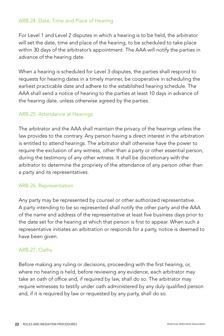# ARB-24. Date, Time and Place of Hearing

For Level 1 and Level 2 disputes in which a hearing is to be held, the arbitrator will set the date, time and place of the hearing, to be scheduled to take place within 30 days of the arbitrator's appointment. The AAA will notify the parties in advance of the hearing date.

When a hearing is scheduled for Level 3 disputes, the parties shall respond to requests for hearing dates in a timely manner, be cooperative in scheduling the earliest practicable date and adhere to the established hearing schedule. The AAA shall send a notice of hearing to the parties at least 10 days in advance of the hearing date, unless otherwise agreed by the parties.

## ARB-25. Attendance at Hearings

The arbitrator and the AAA shall maintain the privacy of the hearings unless the law provides to the contrary. Any person having a direct interest in the arbitration is entitled to attend hearings. The arbitrator shall otherwise have the power to require the exclusion of any witness, other than a party or other essential person, during the testimony of any other witness. It shall be discretionary with the arbitrator to determine the propriety of the attendance of any person other than a party and its representatives.

#### ARB-26. Representation

Any party may be represented by counsel or other authorized representative. A party intending to be so represented shall notify the other party and the AAA of the name and address of the representative at least five business days prior to the date set for the hearing at which that person is first to appear. When such a representative initiates an arbitration or responds for a party, notice is deemed to have been given.

# ARB-27. Oaths

Before making any ruling or decisions, proceeding with the first hearing, or, where no hearing is held, before reviewing any evidence, each arbitrator may take an oath of office and, if required by law, shall do so. The arbitrator may require witnesses to testify under oath administered by any duly qualified person and, if it is required by law or requested by any party, shall do so.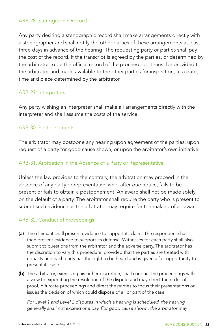# ARB-28. Stenographic Record

Any party desiring a stenographic record shall make arrangements directly with a stenographer and shall notify the other parties of these arrangements at least three days in advance of the hearing. The requesting party or parties shall pay the cost of the record. If the transcript is agreed by the parties, or determined by the arbitrator to be the official record of the proceeding, it must be provided to the arbitrator and made available to the other parties for inspection, at a date, time and place determined by the arbitrator.

#### ARB-29. Interpreters

Any party wishing an interpreter shall make all arrangements directly with the interpreter and shall assume the costs of the service.

## ARB-30. Postponements

The arbitrator may postpone any hearing upon agreement of the parties, upon request of a party for good cause shown, or upon the arbitrator's own initiative.

# ARB-31. Arbitration in the Absence of a Party or Representative

Unless the law provides to the contrary, the arbitration may proceed in the absence of any party or representative who, after due notice, fails to be present or fails to obtain a postponement. An award shall not be made solely on the default of a party. The arbitrator shall require the party who is present to submit such evidence as the arbitrator may require for the making of an award.

# ARB-32. Conduct of Proceedings

- (a) The claimant shall present evidence to support its claim. The respondent shall then present evidence to support its defense. Witnesses for each party shall also submit to questions from the arbitrator and the adverse party. The arbitrator has the discretion to vary this procedure, provided that the parties are treated with equality and each party has the right to be heard and is given a fair opportunity to present its case.
- (b) The arbitrator, exercising his or her discretion, shall conduct the proceedings with a view to expediting the resolution of the dispute and may direct the order of proof, bifurcate proceedings and direct the parties to focus their presentations on issues the decision of which could dispose of all or part of the case.

For Level 1 and Level 2 disputes in which a hearing is scheduled, the hearing *generally shall not exceed one day. For good cause shown, the arbitrator may*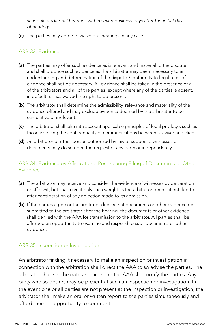*schedule additional hearings within seven business days after the initial day of hearings.*

(c) The parties may agree to waive oral hearings in any case.

# ARB-33. Evidence

- (a) The parties may offer such evidence as is relevant and material to the dispute and shall produce such evidence as the arbitrator may deem necessary to an understanding and determination of the dispute. Conformity to legal rules of evidence shall not be necessary. All evidence shall be taken in the presence of all of the arbitrators and all of the parties, except where any of the parties is absent, in default, or has waived the right to be present.
- (b) The arbitrator shall determine the admissibility, relevance and materiality of the evidence offered and may exclude evidence deemed by the arbitrator to be cumulative or irrelevant.
- (c) The arbitrator shall take into account applicable principles of legal privilege, such as those involving the confidentiality of communications between a lawyer and client.
- (d) An arbitrator or other person authorized by law to subpoena witnesses or documents may do so upon the request of any party or independently.

# ARB-34. Evidence by Affidavit and Post-hearing Filing of Documents or Other Evidence

- (a) The arbitrator may receive and consider the evidence of witnesses by declaration or affidavit, but shall give it only such weight as the arbitrator deems it entitled to after consideration of any objection made to its admission.
- (b) If the parties agree or the arbitrator directs that documents or other evidence be submitted to the arbitrator after the hearing, the documents or other evidence shall be filed with the AAA for transmission to the arbitrator. All parties shall be afforded an opportunity to examine and respond to such documents or other evidence.

#### ARB-35. Inspection or Investigation

An arbitrator finding it necessary to make an inspection or investigation in connection with the arbitration shall direct the AAA to so advise the parties. The arbitrator shall set the date and time and the AAA shall notify the parties. Any party who so desires may be present at such an inspection or investigation. In the event one or all parties are not present at the inspection or investigation, the arbitrator shall make an oral or written report to the parties simultaneously and afford them an opportunity to comment.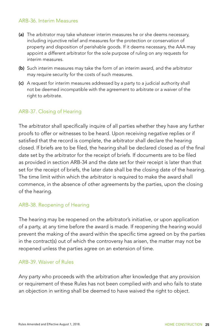#### ARB-36. Interim Measures

- (a) The arbitrator may take whatever interim measures he or she deems necessary, including injunctive relief and measures for the protection or conservation of property and disposition of perishable goods. If it deems necessary, the AAA may appoint a different arbitrator for the sole purpose of ruling on any requests for interim measures.
- (b) Such interim measures may take the form of an interim award, and the arbitrator may require security for the costs of such measures.
- (c) A request for interim measures addressed by a party to a judicial authority shall not be deemed incompatible with the agreement to arbitrate or a waiver of the right to arbitrate.

# ARB-37. Closing of Hearing

The arbitrator shall specifically inquire of all parties whether they have any further proofs to offer or witnesses to be heard. Upon receiving negative replies or if satisfied that the record is complete, the arbitrator shall declare the hearing closed. If briefs are to be filed, the hearing shall be declared closed as of the final date set by the arbitrator for the receipt of briefs. If documents are to be filed as provided in section ARB-34 and the date set for their receipt is later than that set for the receipt of briefs, the later date shall be the closing date of the hearing. The time limit within which the arbitrator is required to make the award shall commence, in the absence of other agreements by the parties, upon the closing of the hearing.

## ARB-38. Reopening of Hearing

The hearing may be reopened on the arbitrator's initiative, or upon application of a party, at any time before the award is made. If reopening the hearing would prevent the making of the award within the specific time agreed on by the parties in the contract(s) out of which the controversy has arisen, the matter may not be reopened unless the parties agree on an extension of time.

#### ARB-39. Waiver of Rules

Any party who proceeds with the arbitration after knowledge that any provision or requirement of these Rules has not been complied with and who fails to state an objection in writing shall be deemed to have waived the right to object.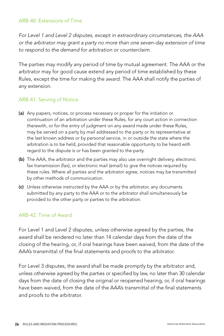# ARB-40. Extensions of Time

*For Level 1 and Level 2 disputes, except in extraordinary circumstances, the AAA or the arbitrator may grant a party no more than one seven-day extension of time to respond to the demand for arbitration or counterclaim.*

The parties may modify any period of time by mutual agreement. The AAA or the arbitrator may for good cause extend any period of time established by these Rules, except the time for making the award. The AAA shall notify the parties of any extension.

## ARB-41. Serving of Notice

- (a) Any papers, notices, or process necessary or proper for the initiation or continuation of an arbitration under these Rules, for any court action in connection therewith, or for the entry of judgment on any award made under these Rules, may be served on a party by mail addressed to the party or its representative at the last known address or by personal service, in or outside the state where the arbitration is to be held, provided that reasonable opportunity to be heard with regard to the dispute is or has been granted to the party.
- (b) The AAA, the arbitrator and the parties may also use overnight delivery, electronic fax transmission (fax), or electronic mail (email) to give the notices required by these rules. Where all parties and the arbitrator agree, notices may be transmitted by other methods of communication.
- (c) Unless otherwise instructed by the AAA or by the arbitrator, any documents submitted by any party to the AAA or to the arbitrator shall simultaneously be provided to the other party or parties to the arbitration.

#### ARB-42. Time of Award

For Level 1 and Level 2 disputes, unless otherwise agreed by the parties, the award shall be rendered no later than 14 calendar days from the date of the closing of the hearing, or, if oral hearings have been waived, from the date of the AAA's transmittal of the final statements and proofs to the arbitrator.

For Level 3 disputes, the award shall be made promptly by the arbitrator and, unless otherwise agreed by the parties or specified by law, no later than 30 calendar days from the date of closing the original or reopened hearing, or, if oral hearings have been waived, from the date of the AAA's transmittal of the final statements and proofs to the arbitrator.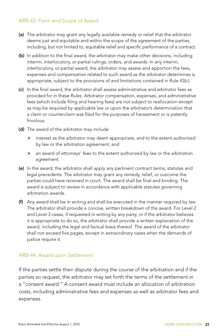# ARB-43. Form and Scope of Award

- (a) The arbitrator may grant any legally available remedy or relief that the arbitrator deems just and equitable and within the scope of the agreement of the parties, including, but not limited to, equitable relief and specific performance of a contract.
- (b) In addition to the final award, the arbitrator may make other decisions, including interim, interlocutory, or partial rulings, orders, and awards. In any interim, interlocutory, or partial award, the arbitrator may assess and apportion the fees, expenses and compensation related to such award as the arbitrator determines is appropriate, subject to the provisions of and limitations contained in Rule 43(c).
- (c) In the final award, the arbitrator shall assess administrative and arbitrator fees as provided for in these Rules. Arbitrator compensation, expenses, and administrative fees (which include filing and hearing fees) are not subject to reallocation except as may be required by applicable law or upon the arbitrator's determination that a claim or counterclaim was filed for the purposes of harassment or is patently frivolous.
- (d) The award of the arbitrator may include:
	- > interest as the arbitrator may deem appropriate, and to the extent authorized by law or the arbitration agreement; and
	- > an award of attorneys' fees to the extent authorized by law or the arbitration agreement.
- (e) In the award, the arbitrator shall apply any pertinent contract terms, statutes and legal precedents. The arbitrator may grant any remedy, relief, or outcome the parties could have received in court. The award shall be final and binding. The award is subject to review in accordance with applicable statutes governing arbitration awards.
- (f) Any award shall be in writing and shall be executed in the manner required by law. The arbitrator shall provide a concise, written breakdown of the award. For Level 2 and Level 3 cases, if requested in writing by any party, or if the arbitrator believes it is appropriate to do so, the arbitrator shall provide a written explanation of the award, including the legal and factual basis thereof. The award of the arbitrator shall not exceed five pages, except in extraordinary cases when the demands of justice require it.

#### ARB-44. Award upon Settlement

If the parties settle their dispute during the course of the arbitration and if the parties so request, the arbitrator may set forth the terms of the settlement in a "consent award." A consent award must include an allocation of arbitration costs, including administrative fees and expenses as well as arbitrator fees and expenses.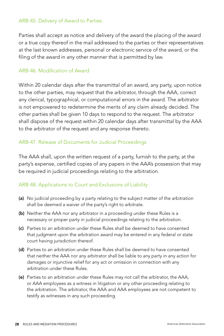# ARB-45. Delivery of Award to Parties

Parties shall accept as notice and delivery of the award the placing of the award or a true copy thereof in the mail addressed to the parties or their representatives at the last known addresses, personal or electronic service of the award, or the filing of the award in any other manner that is permitted by law.

#### ARB-46. Modification of Award

Within 20 calendar days after the transmittal of an award, any party, upon notice to the other parties, may request that the arbitrator, through the AAA, correct any clerical, typographical, or computational errors in the award. The arbitrator is not empowered to redetermine the merits of any claim already decided. The other parties shall be given 10 days to respond to the request. The arbitrator shall dispose of the request within 20 calendar days after transmittal by the AAA to the arbitrator of the request and any response thereto.

# ARB-47. Release of Documents for Judicial Proceedings

The AAA shall, upon the written request of a party, furnish to the party, at the party's expense, certified copies of any papers in the AAA's possession that may be required in judicial proceedings relating to the arbitration.

# ARB-48. Applications to Court and Exclusions of Liability

- (a) No judicial proceeding by a party relating to the subject matter of the arbitration shall be deemed a waiver of the party's right to arbitrate.
- (b) Neither the AAA nor any arbitrator in a proceeding under these Rules is a necessary or proper party in judicial proceedings relating to the arbitration.
- (c) Parties to an arbitration under these Rules shall be deemed to have consented that judgment upon the arbitration award may be entered in any federal or state court having jurisdiction thereof.
- (d) Parties to an arbitration under these Rules shall be deemed to have consented that neither the AAA nor any arbitrator shall be liable to any party in any action for damages or injunctive relief for any act or omission in connection with any arbitration under these Rules.
- (e) Parties to an arbitration under these Rules may not call the arbitrator, the AAA, or AAA employees as a witness in litigation or any other proceeding relating to the arbitration. The arbitrator, the AAA and AAA employees are not competent to testify as witnesses in any such proceeding.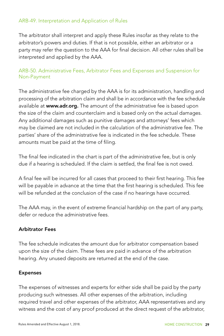# ARB-49. Interpretation and Application of Rules

The arbitrator shall interpret and apply these Rules insofar as they relate to the arbitrator's powers and duties. If that is not possible, either an arbitrator or a party may refer the question to the AAA for final decision. All other rules shall be interpreted and applied by the AAA.

# ARB-50. Administrative Fees, Arbitrator Fees and Expenses and Suspension for Non-Payment

The administrative fee charged by the AAA is for its administration, handling and processing of the arbitration claim and shall be in accordance with the fee schedule available at [www.adr.org.](http://www.adr.org) The amount of the administrative fee is based upon the size of the claim and counterclaim and is based only on the actual damages. Any additional damages such as punitive damages and attorneys' fees which may be claimed are not included in the calculation of the administrative fee. The parties' share of the administrative fee is indicated in the fee schedule. These amounts must be paid at the time of filing.

The final fee indicated in the chart is part of the administrative fee, but is only due if a hearing is scheduled. If the claim is settled, the final fee is not owed.

A final fee will be incurred for all cases that proceed to their first hearing. This fee will be payable in advance at the time that the first hearing is scheduled. This fee will be refunded at the conclusion of the case if no hearings have occurred.

The AAA may, in the event of extreme financial hardship on the part of any party, defer or reduce the administrative fees.

# Arbitrator Fees

The fee schedule indicates the amount due for arbitrator compensation based upon the size of the claim. These fees are paid in advance of the arbitration hearing. Any unused deposits are returned at the end of the case.

# Expenses

The expenses of witnesses and experts for either side shall be paid by the party producing such witnesses. All other expenses of the arbitration, including required travel and other expenses of the arbitrator, AAA representatives and any witness and the cost of any proof produced at the direct request of the arbitrator,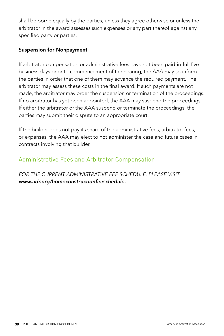shall be borne equally by the parties, unless they agree otherwise or unless the arbitrator in the award assesses such expenses or any part thereof against any specified party or parties.

# Suspension for Nonpayment

If arbitrator compensation or administrative fees have not been paid-in-full five business days prior to commencement of the hearing, the AAA may so inform the parties in order that one of them may advance the required payment. The arbitrator may assess these costs in the final award. If such payments are not made, the arbitrator may order the suspension or termination of the proceedings. If no arbitrator has yet been appointed, the AAA may suspend the proceedings. If either the arbitrator or the AAA suspend or terminate the proceedings, the parties may submit their dispute to an appropriate court.

If the builder does not pay its share of the administrative fees, arbitrator fees, or expenses, the AAA may elect to not administer the case and future cases in contracts involving that builder.

# Administrative Fees and Arbitrator Compensation

FOR THE CURRENT ADMINISTRATIVE FEE SCHEDULE, PLEASE VISIT *[www.adr.org/homeconstructionfeeschedule.](http://www.adr.org/homeconstructionfeeschedule)*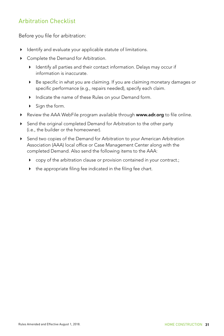# Arbitration Checklist

Before you file for arbitration:

- Identify and evaluate your applicable statute of limitations.
- **Complete the Demand for Arbitration.** 
	- Identify all parties and their contact information. Delays may occur if information is inaccurate.
	- Be specific in what you are claiming. If you are claiming monetary damages or specific performance (e.g., repairs needed), specify each claim.
	- Indicate the name of these Rules on your Demand form.
	- Sign the form.
- Review the AAA WebFile program available through www.adr.org to file online.
- Send the original completed Demand for Arbitration to the other party (i.e., the builder or the homeowner).
- Send two copies of the Demand for Arbitration to your American Arbitration Association (AAA) local office or Case Management Center along with the completed Demand. Also send the following items to the AAA:
	- ▶ copy of the arbitration clause or provision contained in your contract.;
	- $\blacktriangleright$  the appropriate filing fee indicated in the filing fee chart.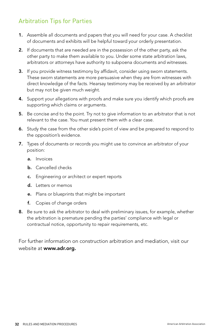# Arbitration Tips for Parties

- 1. Assemble all documents and papers that you will need for your case. A checklist of documents and exhibits will be helpful toward your orderly presentation.
- 2. If documents that are needed are in the possession of the other party, ask the other party to make them available to you. Under some state arbitration laws, arbitrators or attorneys have authority to subpoena documents and witnesses.
- **3.** If you provide witness testimony by affidavit, consider using sworn statements. These sworn statements are more persuasive when they are from witnesses with direct knowledge of the facts. Hearsay testimony may be received by an arbitrator but may not be given much weight.
- 4. Support your allegations with proofs and make sure you identify which proofs are supporting which claims or arguments.
- **5.** Be concise and to the point. Try not to give information to an arbitrator that is not relevant to the case. You must present them with a clear case.
- 6. Study the case from the other side's point of view and be prepared to respond to the opposition's evidence.
- 7. Types of documents or records you might use to convince an arbitrator of your position:
	- a. Invoices
	- b. Cancelled checks
	- c. Engineering or architect or expert reports
	- d. Letters or memos
	- e. Plans or blueprints that might be important
	- f. Copies of change orders
- 8. Be sure to ask the arbitrator to deal with preliminary issues, for example, whether the arbitration is premature pending the parties' compliance with legal or contractual notice, opportunity to repair requirements, etc.

For further information on construction arbitration and mediation, visit our website at [www.adr.org.](http://www.adr.org)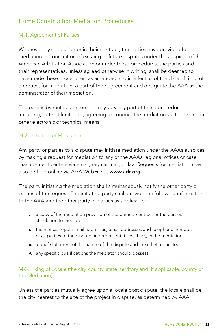# Home Construction Mediation Procedures

# M-1. Agreement of Parties

Whenever, by stipulation or in their contract, the parties have provided for mediation or conciliation of existing or future disputes under the auspices of the American Arbitration Association or under these procedures, the parties and their representatives, unless agreed otherwise in writing, shall be deemed to have made these procedures, as amended and in effect as of the date of filing of a request for mediation, a part of their agreement and designate the AAA as the administrator of their mediation.

The parties by mutual agreement may vary any part of these procedures including, but not limited to, agreeing to conduct the mediation via telephone or other electronic or technical means.

## M-2. Initiation of Mediation

Any party or parties to a dispute may initiate mediation under the AAA's auspices by making a request for mediation to any of the AAA's regional offices or case management centers via email, regular mail, or fax. Requests for mediation may also be filed online via AAA WebFile at [www.adr.org.](http://www.adr.org)

The party initiating the mediation shall simultaneously notify the other party or parties of the request. The initiating party shall provide the following information to the AAA and the other party or parties as applicable:

- i. a copy of the mediation provision of the parties' contract or the parties' stipulation to mediate;
- ii. the names, regular mail addresses, email addresses and telephone numbers of all parties to the dispute and representatives, if any, in the mediation;
- iii. a brief statement of the nature of the dispute and the relief requested;
- iv. any specific qualifications the mediator should possess.

# M-3. Fixing of Locale (the city, county, state, territory and, if applicable, county of the Mediation)

Unless the parties mutually agree upon a locale post dispute, the locale shall be the city nearest to the site of the project in dispute, as determined by AAA.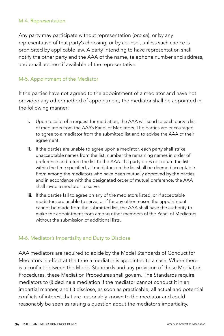# M-4. Representation

Any party may participate without representation (*pro se*), or by any representative of that party's choosing, or by counsel, unless such choice is prohibited by applicable law. A party intending to have representation shall notify the other party and the AAA of the name, telephone number and address, and email address if available of the representative.

## M-5. Appointment of the Mediator

If the parties have not agreed to the appointment of a mediator and have not provided any other method of appointment, the mediator shall be appointed in the following manner:

- i. Upon receipt of a request for mediation, the AAA will send to each party a list of mediators from the AAA's Panel of Mediators. The parties are encouraged to agree to a mediator from the submitted list and to advise the AAA of their agreement.
- ii. If the parties are unable to agree upon a mediator, each party shall strike unacceptable names from the list, number the remaining names in order of preference and return the list to the AAA. If a party does not return the list within the time specified, all mediators on the list shall be deemed acceptable. From among the mediators who have been mutually approved by the parties, and in accordance with the designated order of mutual preference, the AAA shall invite a mediator to serve.
- iii. If the parties fail to agree on any of the mediators listed, or if acceptable mediators are unable to serve, or if for any other reason the appointment cannot be made from the submitted list, the AAA shall have the authority to make the appointment from among other members of the Panel of Mediators without the submission of additional lists.

# M-6. Mediator's Impartiality and Duty to Disclose

AAA mediators are required to abide by the Model Standards of Conduct for Mediators in effect at the time a mediator is appointed to a case. Where there is a conflict between the Model Standards and any provision of these Mediation Procedures, these Mediation Procedures shall govern. The Standards require mediators to (i) decline a mediation if the mediator cannot conduct it in an impartial manner, and (ii) disclose, as soon as practicable, all actual and potential conflicts of interest that are reasonably known to the mediator and could reasonably be seen as raising a question about the mediator's impartiality.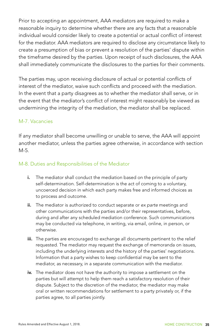Prior to accepting an appointment, AAA mediators are required to make a reasonable inquiry to determine whether there are any facts that a reasonable individual would consider likely to create a potential or actual conflict of interest for the mediator. AAA mediators are required to disclose any circumstance likely to create a presumption of bias or prevent a resolution of the parties' dispute within the timeframe desired by the parties. Upon receipt of such disclosures, the AAA shall immediately communicate the disclosures to the parties for their comments.

The parties may, upon receiving disclosure of actual or potential conflicts of interest of the mediator, waive such conflicts and proceed with the mediation. In the event that a party disagrees as to whether the mediator shall serve, or in the event that the mediator's conflict of interest might reasonably be viewed as undermining the integrity of the mediation, the mediator shall be replaced.

# M-7. Vacancies

If any mediator shall become unwilling or unable to serve, the AAA will appoint another mediator, unless the parties agree otherwise, in accordance with section M-5.

# M-8. Duties and Responsibilities of the Mediator

- i. The mediator shall conduct the mediation based on the principle of party self-determination. Self-determination is the act of coming to a voluntary, uncoerced decision in which each party makes free and informed choices as to process and outcome.
- ii. The mediator is authorized to conduct separate or *ex parte* meetings and other communications with the parties and/or their representatives, before, during and after any scheduled mediation conference. Such communications may be conducted via telephone, in writing, via email, online, in person, or otherwise.
- iii. The parties are encouraged to exchange all documents pertinent to the relief requested. The mediator may request the exchange of memoranda on issues, including the underlying interests and the history of the parties' negotiations. Information that a party wishes to keep confidential may be sent to the mediator, as necessary, in a separate communication with the mediator.
- iv. The mediator does not have the authority to impose a settlement on the parties but will attempt to help them reach a satisfactory resolution of their dispute. Subject to the discretion of the mediator, the mediator may make oral or written recommendations for settlement to a party privately or, if the parties agree, to all parties jointly.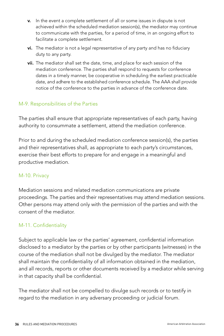- v. In the event a complete settlement of all or some issues in dispute is not achieved within the scheduled mediation session(s), the mediator may continue to communicate with the parties, for a period of time, in an ongoing effort to facilitate a complete settlement.
- vi. The mediator is not a legal representative of any party and has no fiduciary duty to any party.
- vii. The mediator shall set the date, time, and place for each session of the mediation conference. The parties shall respond to requests for conference dates in a timely manner, be cooperative in scheduling the earliest practicable date, and adhere to the established conference schedule. The AAA shall provide notice of the conference to the parties in advance of the conference date.

# M-9. Responsibilities of the Parties

The parties shall ensure that appropriate representatives of each party, having authority to consummate a settlement, attend the mediation conference.

Prior to and during the scheduled mediation conference session(s), the parties and their representatives shall, as appropriate to each party's circumstances, exercise their best efforts to prepare for and engage in a meaningful and productive mediation.

# M-10. Privacy

Mediation sessions and related mediation communications are private proceedings. The parties and their representatives may attend mediation sessions. Other persons may attend only with the permission of the parties and with the consent of the mediator.

# M-11. Confidentiality

Subject to applicable law or the parties' agreement, confidential information disclosed to a mediator by the parties or by other participants (witnesses) in the course of the mediation shall not be divulged by the mediator. The mediator shall maintain the confidentiality of all information obtained in the mediation, and all records, reports or other documents received by a mediator while serving in that capacity shall be confidential.

The mediator shall not be compelled to divulge such records or to testify in regard to the mediation in any adversary proceeding or judicial forum.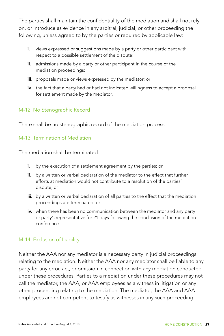The parties shall maintain the confidentiality of the mediation and shall not rely on, or introduce as evidence in any arbitral, judicial, or other proceeding the following, unless agreed to by the parties or required by applicable law:

- i. views expressed or suggestions made by a party or other participant with respect to a possible settlement of the dispute;
- ii. admissions made by a party or other participant in the course of the mediation proceedings;
- iii. proposals made or views expressed by the mediator; or
- iv. the fact that a party had or had not indicated willingness to accept a proposal for settlement made by the mediator.

# M-12. No Stenographic Record

There shall be no stenographic record of the mediation process.

# M-13. Termination of Mediation

The mediation shall be terminated:

- i. by the execution of a settlement agreement by the parties; or
- ii. by a written or verbal declaration of the mediator to the effect that further efforts at mediation would not contribute to a resolution of the parties' dispute; or
- iii. by a written or verbal declaration of all parties to the effect that the mediation proceedings are terminated; or
- iv. when there has been no communication between the mediator and any party or party's representative for 21 days following the conclusion of the mediation conference.

# M-14. Exclusion of Liability

Neither the AAA nor any mediator is a necessary party in judicial proceedings relating to the mediation. Neither the AAA nor any mediator shall be liable to any party for any error, act, or omission in connection with any mediation conducted under these procedures. Parties to a mediation under these procedures may not call the mediator, the AAA, or AAA employees as a witness in litigation or any other proceeding relating to the mediation. The mediator, the AAA and AAA employees are not competent to testify as witnesses in any such proceeding.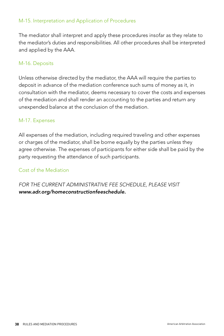# M-15. Interpretation and Application of Procedures

The mediator shall interpret and apply these procedures insofar as they relate to the mediator's duties and responsibilities. All other procedures shall be interpreted and applied by the AAA.

## M-16. Deposits

Unless otherwise directed by the mediator, the AAA will require the parties to deposit in advance of the mediation conference such sums of money as it, in consultation with the mediator, deems necessary to cover the costs and expenses of the mediation and shall render an accounting to the parties and return any unexpended balance at the conclusion of the mediation.

## M-17. Expenses

All expenses of the mediation, including required traveling and other expenses or charges of the mediator, shall be borne equally by the parties unless they agree otherwise. The expenses of participants for either side shall be paid by the party requesting the attendance of such participants.

# Cost of the Mediation

FOR THE CURRENT ADMINISTRATIVE FEE SCHEDULE, PLEASE VISIT *[www.adr.org/homeconstructionfeeschedule.](http://www.adr.org/homeconstructionfeeschedule)*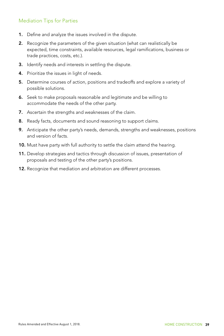# Mediation Tips for Parties

- 1. Define and analyze the issues involved in the dispute.
- 2. Recognize the parameters of the given situation (what can realistically be expected, time constraints, available resources, legal ramifications, business or trade practices, costs, etc.).
- 3. Identify needs and interests in settling the dispute.
- 4. Prioritize the issues in light of needs.
- 5. Determine courses of action, positions and tradeoffs and explore a variety of possible solutions.
- **6.** Seek to make proposals reasonable and legitimate and be willing to accommodate the needs of the other party.
- 7. Ascertain the strengths and weaknesses of the claim.
- 8. Ready facts, documents and sound reasoning to support claims.
- 9. Anticipate the other party's needs, demands, strengths and weaknesses, positions and version of facts.
- 10. Must have party with full authority to settle the claim attend the hearing.
- 11. Develop strategies and tactics through discussion of issues, presentation of proposals and testing of the other party's positions.
- 12. Recognize that mediation and arbitration are different processes.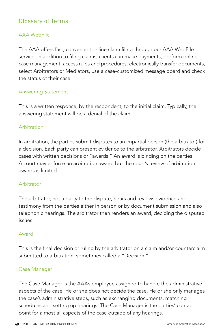# Glossary of Terms

# AAA WebFile

The AAA offers fast, convenient online claim filing through our AAA WebFile service. In addition to filing claims, clients can make payments, perform online case management, access rules and procedures, electronically transfer documents, select Arbitrators or Mediators, use a case-customized message board and check the status of their case.

# Answering Statement

This is a written response, by the respondent, to the initial claim. Typically, the answering statement will be a denial of the claim.

## Arbitration

In arbitration, the parties submit disputes to an impartial person (the arbitrator) for a decision. Each party can present evidence to the arbitrator. Arbitrators decide cases with written decisions or "awards." An award is binding on the parties. A court may enforce an arbitration award, but the court's review of arbitration awards is limited.

#### **Arbitrator**

The arbitrator, not a party to the dispute, hears and reviews evidence and testimony from the parties either in person or by document submission and also telephonic hearings. The arbitrator then renders an award, deciding the disputed issues.

#### Award

This is the final decision or ruling by the arbitrator on a claim and/or counterclaim submitted to arbitration, sometimes called a "Decision."

# Case Manager

The Case Manager is the AAA's employee assigned to handle the administrative aspects of the case. He or she does not decide the case. He or she only manages the case's administrative steps, such as exchanging documents, matching schedules and setting up hearings. The Case Manager is the parties' contact point for almost all aspects of the case outside of any hearings.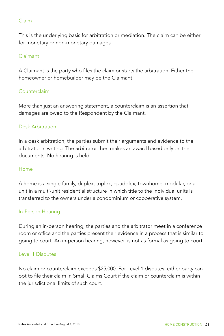# Claim

This is the underlying basis for arbitration or mediation. The claim can be either for monetary or non-monetary damages.

# Claimant

A Claimant is the party who files the claim or starts the arbitration. Either the homeowner or homebuilder may be the Claimant.

# Counterclaim

More than just an answering statement, a counterclaim is an assertion that damages are owed to the Respondent by the Claimant.

# Desk Arbitration

In a desk arbitration, the parties submit their arguments and evidence to the arbitrator in writing. The arbitrator then makes an award based only on the documents. No hearing is held.

#### Home

A home is a single family, duplex, triplex, quadplex, townhome, modular, or a unit in a multi-unit residential structure in which title to the individual units is transferred to the owners under a condominium or cooperative system.

# In-Person Hearing

During an in-person hearing, the parties and the arbitrator meet in a conference room or office and the parties present their evidence in a process that is similar to going to court. An in-person hearing, however, is not as formal as going to court.

#### Level 1 Disputes

No claim or counterclaim exceeds \$25,000. For Level 1 disputes, either party can opt to file their claim in Small Claims Court if the claim or counterclaim is within the jurisdictional limits of such court.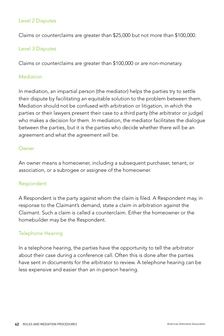# Level 2 Disputes

Claims or counterclaims are greater than \$25,000 but not more than \$100,000.

# Level 3 Disputes

Claims or counterclaims are greater than \$100,000 or are non-monetary.

# Mediation

In mediation, an impartial person (the mediator) helps the parties try to settle their dispute by facilitating an equitable solution to the problem between them. Mediation should not be confused with arbitration or litigation, in which the parties or their lawyers present their case to a third party (the arbitrator or judge) who makes a decision for them. In mediation, the mediator facilitates the dialogue between the parties, but it is the parties who decide whether there will be an agreement and what the agreement will be.

## Owner

An owner means a homeowner, including a subsequent purchaser, tenant, or association, or a subrogee or assignee of the homeowner.

# Respondent

A Respondent is the party against whom the claim is filed. A Respondent may, in response to the Claimant's demand, state a claim in arbitration against the Claimant. Such a claim is called a counterclaim. Either the homeowner or the homebuilder may be the Respondent.

# Telephone Hearing

In a telephone hearing, the parties have the opportunity to tell the arbitrator about their case during a conference call. Often this is done after the parties have sent in documents for the arbitrator to review. A telephone hearing can be less expensive and easier than an in-person hearing.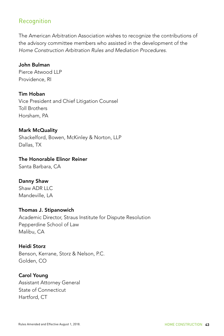# Recognition

The American Arbitration Association wishes to recognize the contributions of the advisory committee members who assisted in the development of the *Home Construction Arbitration Rules and Mediation Procedures.*

## John Bulman

Pierce Atwood LLP Providence, RI

# Tim Hoban

Vice President and Chief Litigation Counsel Toll Brothers Horsham, PA

## Mark McQuality

Shackelford, Bowen, McKinley & Norton, LLP Dallas, TX

# The Honorable Elinor Reiner

Santa Barbara, CA

# Danny Shaw

Shaw ADR LLC Mandeville, LA

# Thomas J. Stipanowich

Academic Director, Straus Institute for Dispute Resolution Pepperdine School of Law Malibu, CA

#### Heidi Storz

Benson, Kerrane, Storz & Nelson, P.C. Golden, CO

## Carol Young

Assistant Attorney General State of Connecticut Hartford, CT